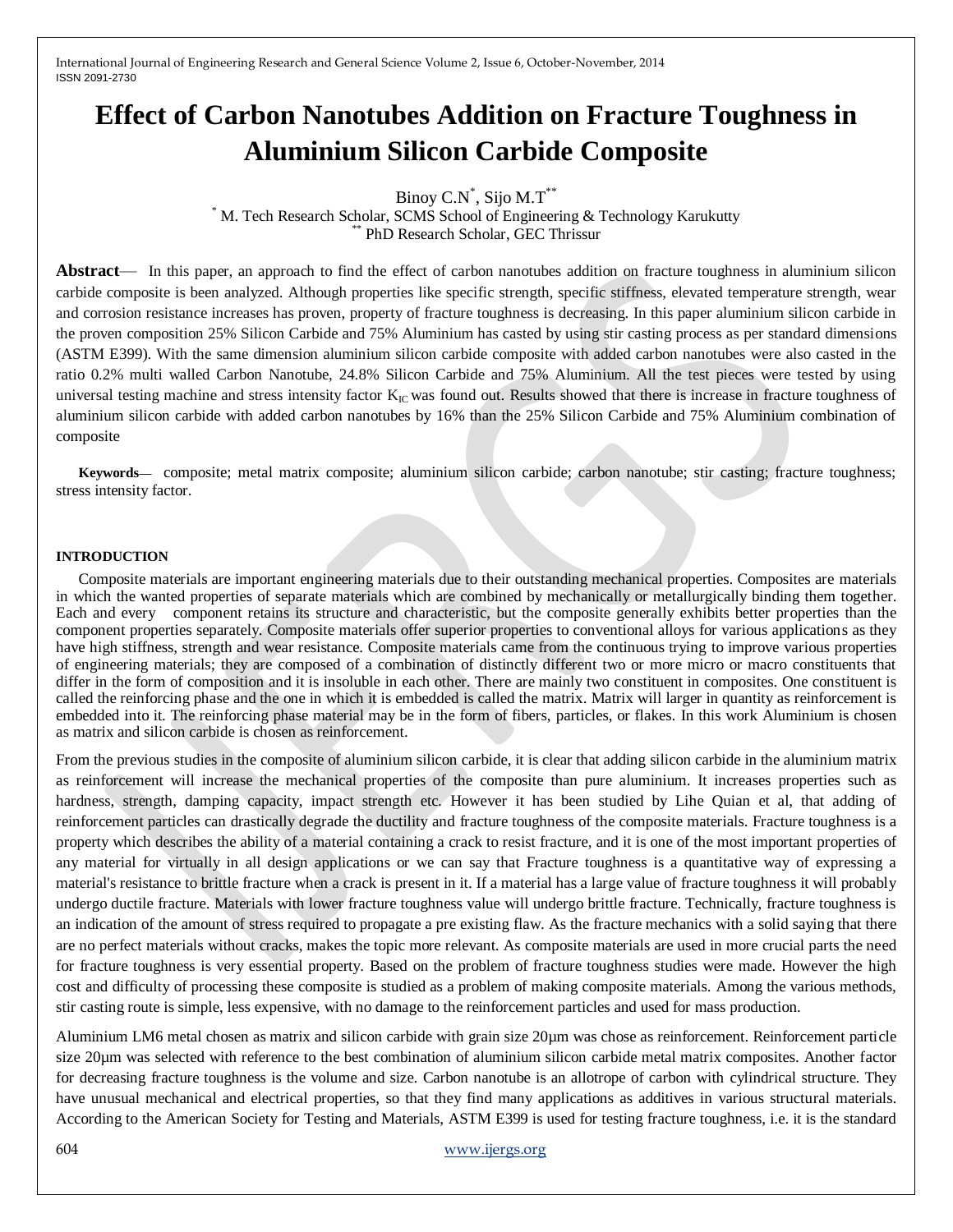# **Effect of Carbon Nanotubes Addition on Fracture Toughness in Aluminium Silicon Carbide Composite**

Binoy C.N<sup>\*</sup>, Sijo M.T<sup>\*\*</sup>

\* M. Tech Research Scholar, SCMS School of Engineering & Technology Karukutty \*\* PhD Research Scholar, GEC Thrissur

**Abstract**— In this paper, an approach to find the effect of carbon nanotubes addition on fracture toughness in aluminium silicon carbide composite is been analyzed. Although properties like specific strength, specific stiffness, elevated temperature strength, wear and corrosion resistance increases has proven, property of fracture toughness is decreasing. In this paper aluminium silicon carbide in the proven composition 25% Silicon Carbide and 75% Aluminium has casted by using stir casting process as per standard dimensions (ASTM E399). With the same dimension aluminium silicon carbide composite with added carbon nanotubes were also casted in the ratio 0.2% multi walled Carbon Nanotube, 24.8% Silicon Carbide and 75% Aluminium. All the test pieces were tested by using universal testing machine and stress intensity factor  $K_{IC}$  was found out. Results showed that there is increase in fracture toughness of aluminium silicon carbide with added carbon nanotubes by 16% than the 25% Silicon Carbide and 75% Aluminium combination of composite

**Keywords—** composite; metal matrix composite; aluminium silicon carbide; carbon nanotube; stir casting; fracture toughness; stress intensity factor.

#### **INTRODUCTION**

Composite materials are important engineering materials due to their outstanding mechanical properties. Composites are materials in which the wanted properties of separate materials which are combined by mechanically or metallurgically binding them together. Each and every component retains its structure and characteristic, but the composite generally exhibits better properties than the component properties separately. Composite materials offer superior properties to conventional alloys for various applications as they have high stiffness, strength and wear resistance. Composite materials came from the continuous trying to improve various properties of engineering materials; they are composed of a combination of distinctly different two or more micro or macro constituents that differ in the form of composition and it is insoluble in each other. There are mainly two constituent in composites. One constituent is called the reinforcing phase and the one in which it is embedded is called the matrix. Matrix will larger in quantity as reinforcement is embedded into it. The reinforcing phase material may be in the form of fibers, particles, or flakes. In this work Aluminium is chosen as matrix and silicon carbide is chosen as reinforcement.

From the previous studies in the composite of aluminium silicon carbide, it is clear that adding silicon carbide in the aluminium matrix as reinforcement will increase the mechanical properties of the composite than pure aluminium. It increases properties such as hardness, strength, damping capacity, impact strength etc. However it has been studied by Lihe Quian et al, that adding of reinforcement particles can drastically degrade the ductility and fracture toughness of the composite materials. Fracture toughness is a property which describes the ability of a material containing a crack to resist fracture, and it is one of the most important properties of any material for virtually in all design applications or we can say that Fracture toughness is a quantitative way of expressing a material's resistance to brittle fracture when a crack is present in it. If a material has a large value of fracture toughness it will probably undergo ductile fracture. Materials with lower fracture toughness value will undergo brittle fracture. Technically, fracture toughness is an indication of the amount of stress required to propagate a pre existing flaw. As the fracture mechanics with a solid saying that there are no perfect materials without cracks, makes the topic more relevant. As composite materials are used in more crucial parts the need for fracture toughness is very essential property. Based on the problem of fracture toughness studies were made. However the high cost and difficulty of processing these composite is studied as a problem of making composite materials. Among the various methods, stir casting route is simple, less expensive, with no damage to the reinforcement particles and used for mass production.

Aluminium LM6 metal chosen as matrix and silicon carbide with grain size 20µm was chose as reinforcement. Reinforcement particle size 20µm was selected with reference to the best combination of aluminium silicon carbide metal matrix composites. Another factor for decreasing fracture toughness is the volume and size. Carbon nanotube is an allotrope of carbon with cylindrical structure. They have unusual mechanical and electrical properties, so that they find many applications as additives in various structural materials. According to the American Society for Testing and Materials, ASTM E399 is used for testing fracture toughness, i.e. it is the standard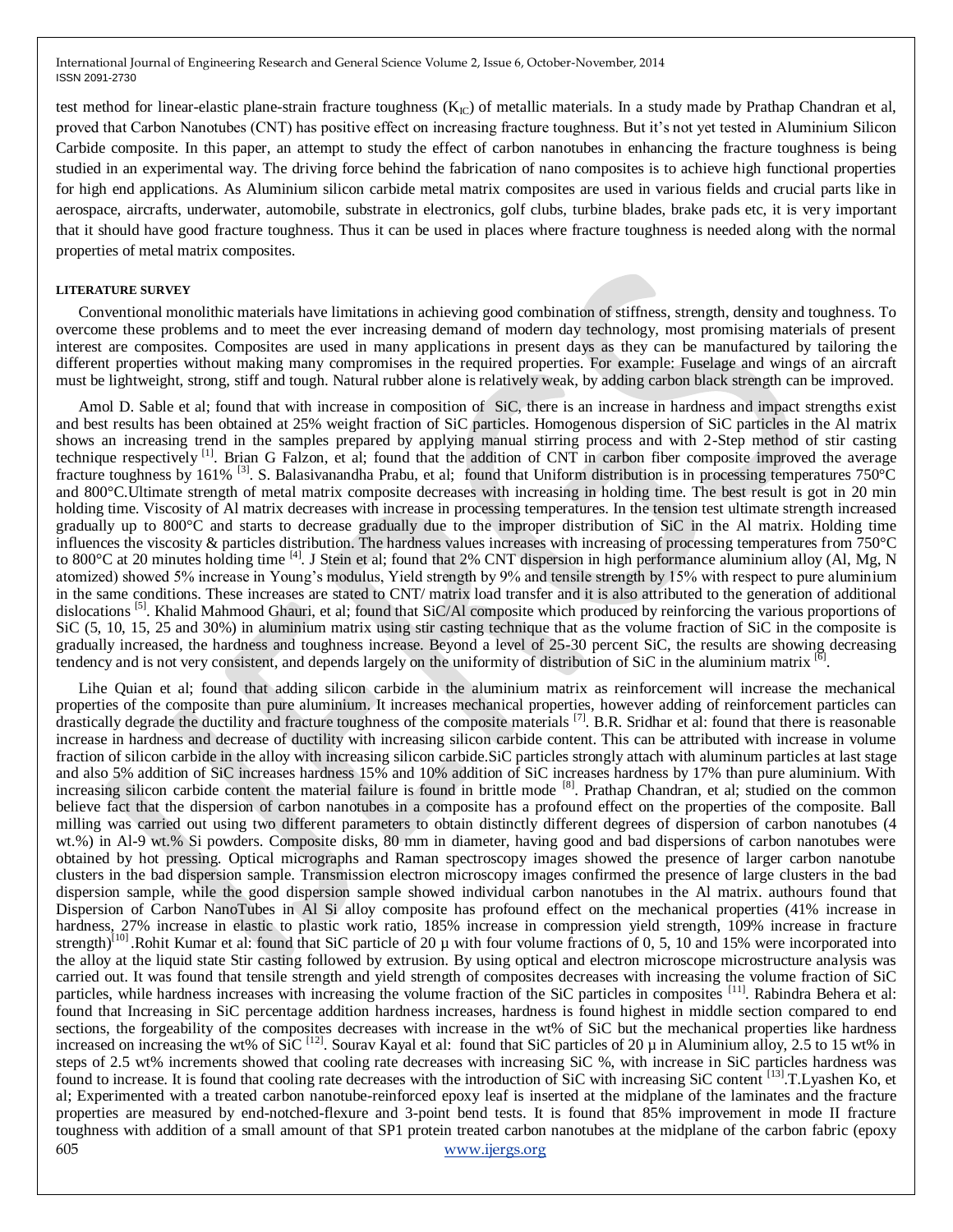test method for linear-elastic plane-strain fracture toughness  $(K<sub>IC</sub>)$  of metallic materials. In a study made by Prathap Chandran et al, proved that Carbon Nanotubes (CNT) has positive effect on increasing fracture toughness. But it's not yet tested in Aluminium Silicon Carbide composite. In this paper, an attempt to study the effect of carbon nanotubes in enhancing the fracture toughness is being studied in an experimental way. The driving force behind the fabrication of nano composites is to achieve high functional properties for high end applications. As Aluminium silicon carbide metal matrix composites are used in various fields and crucial parts like in aerospace, aircrafts, underwater, automobile, substrate in electronics, golf clubs, turbine blades, brake pads etc, it is very important that it should have good fracture toughness. Thus it can be used in places where fracture toughness is needed along with the normal properties of metal matrix composites.

#### **LITERATURE SURVEY**

Conventional monolithic materials have limitations in achieving good combination of stiffness, strength, density and toughness. To overcome these problems and to meet the ever increasing demand of modern day technology, most promising materials of present interest are composites. Composites are used in many applications in present days as they can be manufactured by tailoring the different properties without making many compromises in the required properties. For example: Fuselage and wings of an aircraft must be lightweight, strong, stiff and tough. Natural rubber alone is relatively weak, by adding carbon black strength can be improved.

Amol D. Sable et al; found that with increase in composition of SiC, there is an increase in hardness and impact strengths exist and best results has been obtained at 25% weight fraction of SiC particles. Homogenous dispersion of SiC particles in the Al matrix shows an increasing trend in the samples prepared by applying manual stirring process and with 2-Step method of stir casting technique respectively <sup>[1]</sup>. Brian G Falzon, et al; found that the addition of CNT in carbon fiber composite improved the average fracture toughness by 161% [3]. S. Balasivanandha Prabu, et al; found that Uniform distribution is in processing temperatures 750°C and 800°C.Ultimate strength of metal matrix composite decreases with increasing in holding time. The best result is got in 20 min holding time. Viscosity of Al matrix decreases with increase in processing temperatures. In the tension test ultimate strength increased gradually up to 800°C and starts to decrease gradually due to the improper distribution of SiC in the Al matrix. Holding time influences the viscosity & particles distribution. The hardness values increases with increasing of processing temperatures from  $750^{\circ}$ C to 800 $^{\circ}$ C at 20 minutes holding time <sup>[4]</sup>. J Stein et al; found that 2% CNT dispersion in high performance aluminium alloy (Al, Mg, N atomized) showed 5% increase in Young's modulus, Yield strength by 9% and tensile strength by 15% with respect to pure aluminium in the same conditions. These increases are stated to CNT/ matrix load transfer and it is also attributed to the generation of additional dislocations<sup>[5]</sup>. Khalid Mahmood Ghauri, et al; found that SiC/Al composite which produced by reinforcing the various proportions of SiC (5, 10, 15, 25 and 30%) in aluminium matrix using stir casting technique that as the volume fraction of SiC in the composite is gradually increased, the hardness and toughness increase. Beyond a level of 25-30 percent SiC, the results are showing decreasing tendency and is not very consistent, and depends largely on the uniformity of distribution of SiC in the aluminium matrix  $^{[6]}$ .

605 www.ijergs.org Lihe Quian et al; found that adding silicon carbide in the aluminium matrix as reinforcement will increase the mechanical properties of the composite than pure aluminium. It increases mechanical properties, however adding of reinforcement particles can drastically degrade the ductility and fracture toughness of the composite materials <sup>[7]</sup>. B.R. Sridhar et al: found that there is reasonable increase in hardness and decrease of ductility with increasing silicon carbide content. This can be attributed with increase in volume fraction of silicon carbide in the alloy with increasing silicon carbide.SiC particles strongly attach with aluminum particles at last stage and also 5% addition of SiC increases hardness 15% and 10% addition of SiC increases hardness by 17% than pure aluminium. With increasing silicon carbide content the material failure is found in brittle mode [8]. Prathap Chandran, et al; studied on the common believe fact that the dispersion of carbon nanotubes in a composite has a profound effect on the properties of the composite. Ball milling was carried out using two different parameters to obtain distinctly different degrees of dispersion of carbon nanotubes (4 wt.%) in Al-9 wt.% Si powders. Composite disks, 80 mm in diameter, having good and bad dispersions of carbon nanotubes were obtained by hot pressing. Optical micrographs and Raman spectroscopy images showed the presence of larger carbon nanotube clusters in the bad dispersion sample. Transmission electron microscopy images confirmed the presence of large clusters in the bad dispersion sample, while the good dispersion sample showed individual carbon nanotubes in the Al matrix. authours found that Dispersion of Carbon NanoTubes in Al Si alloy composite has profound effect on the mechanical properties (41% increase in hardness, 27% increase in elastic to plastic work ratio, 185% increase in compression yield strength, 109% increase in fracture strength)<sup>[10]</sup> .Rohit Kumar et al: found that SiC particle of 20  $\mu$  with four volume fractions of 0, 5, 10 and 15% were incorporated into the alloy at the liquid state Stir casting followed by extrusion. By using optical and electron microscope microstructure analysis was carried out. It was found that tensile strength and yield strength of composites decreases with increasing the volume fraction of SiC particles, while hardness increases with increasing the volume fraction of the SiC particles in composites [11]. Rabindra Behera et al: found that Increasing in SiC percentage addition hardness increases, hardness is found highest in middle section compared to end sections, the forgeability of the composites decreases with increase in the wt% of SiC but the mechanical properties like hardness increased on increasing the wt% of  $SiC^{[12]}$ . Sourav Kayal et al: found that SiC particles of 20  $\mu$  in Aluminium alloy, 2.5 to 15 wt% in steps of 2.5 wt% increments showed that cooling rate decreases with increasing SiC %, with increase in SiC particles hardness was found to increase. It is found that cooling rate decreases with the introduction of SiC with increasing SiC content [13].T.Lyashen Ko, et al; Experimented with a treated carbon nanotube-reinforced epoxy leaf is inserted at the midplane of the laminates and the fracture properties are measured by end-notched-flexure and 3-point bend tests. It is found that 85% improvement in mode II fracture toughness with addition of a small amount of that SP1 protein treated carbon nanotubes at the midplane of the carbon fabric (epoxy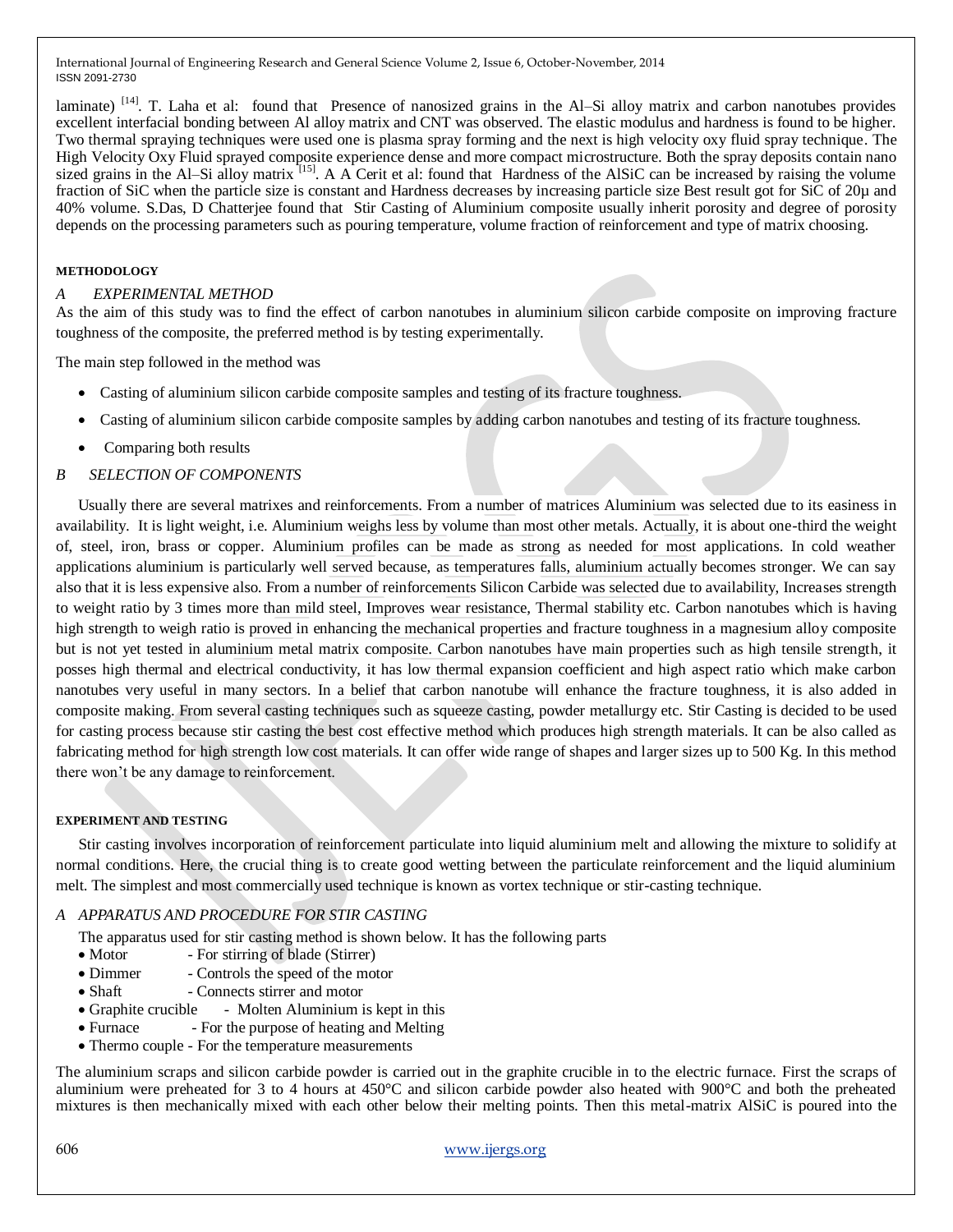laminate)  $[14]$ . T. Laha et al: found that Presence of nanosized grains in the Al–Si alloy matrix and carbon nanotubes provides excellent interfacial bonding between Al alloy matrix and CNT was observed. The elastic modulus and hardness is found to be higher. Two thermal spraying techniques were used one is plasma spray forming and the next is high velocity oxy fluid spray technique. The High Velocity Oxy Fluid sprayed composite experience dense and more compact microstructure. Both the spray deposits contain nano sized grains in the Al–Si alloy matrix  $^{[15]}$ . A A Cerit et al: found that Hardness of the AlSiC can be increased by raising the volume fraction of SiC when the particle size is constant and Hardness decreases by increasing particle size Best result got for SiC of 20µ and 40% volume. S.Das, D Chatterjee found that Stir Casting of Aluminium composite usually inherit porosity and degree of porosity depends on the processing parameters such as pouring temperature, volume fraction of reinforcement and type of matrix choosing.

#### **METHODOLOGY**

### *A EXPERIMENTAL METHOD*

As the aim of this study was to find the effect of carbon nanotubes in aluminium silicon carbide composite on improving fracture toughness of the composite, the preferred method is by testing experimentally.

The main step followed in the method was

- Casting of aluminium silicon carbide composite samples and testing of its fracture toughness.
- Casting of aluminium silicon carbide composite samples by adding carbon nanotubes and testing of its fracture toughness.
- Comparing both results

#### *B SELECTION OF COMPONENTS*

Usually there are several matrixes and reinforcements. From a number of matrices Aluminium was selected due to its easiness in availability. It is light weight, i.e. Aluminium weighs less by volume than most other metals. Actually, it is about one-third the weight of, steel, iron, brass or copper. Aluminium profiles can be made as strong as needed for most applications. In cold weather applications aluminium is particularly well served because, as temperatures falls, aluminium actually becomes stronger. We can say also that it is less expensive also. From a number of reinforcements Silicon Carbide was selected due to availability, Increases strength to weight ratio by 3 times more than mild steel, Improves wear resistance, Thermal stability etc. Carbon nanotubes which is having high strength to weigh ratio is proved in enhancing the mechanical properties and fracture toughness in a magnesium alloy composite but is not yet tested in aluminium metal matrix composite. Carbon nanotubes have main properties such as high tensile strength, it posses high thermal and electrical conductivity, it has low thermal expansion coefficient and high aspect ratio which make carbon nanotubes very useful in many sectors. In a belief that carbon nanotube will enhance the fracture toughness, it is also added in composite making. From several casting techniques such as squeeze casting, powder metallurgy etc. Stir Casting is decided to be used for casting process because stir casting the best cost effective method which produces high strength materials. It can be also called as fabricating method for high strength low cost materials. It can offer wide range of shapes and larger sizes up to 500 Kg. In this method there won't be any damage to reinforcement.

#### **EXPERIMENT AND TESTING**

Stir casting involves incorporation of reinforcement particulate into liquid aluminium melt and allowing the mixture to solidify at normal conditions. Here, the crucial thing is to create good wetting between the particulate reinforcement and the liquid aluminium melt. The simplest and most commercially used technique is known as vortex technique or stir-casting technique.

## *A APPARATUS AND PROCEDURE FOR STIR CASTING*

The apparatus used for stir casting method is shown below. It has the following parts

- Motor For stirring of blade (Stirrer)
- Dimmer Controls the speed of the motor
- Shaft Connects stirrer and motor
- Graphite crucible Molten Aluminium is kept in this
- Furnace For the purpose of heating and Melting
- Thermo couple For the temperature measurements

The aluminium scraps and silicon carbide powder is carried out in the graphite crucible in to the electric furnace. First the scraps of aluminium were preheated for 3 to 4 hours at 450°C and silicon carbide powder also heated with 900°C and both the preheated mixtures is then mechanically mixed with each other below their melting points. Then this metal-matrix AlSiC is poured into the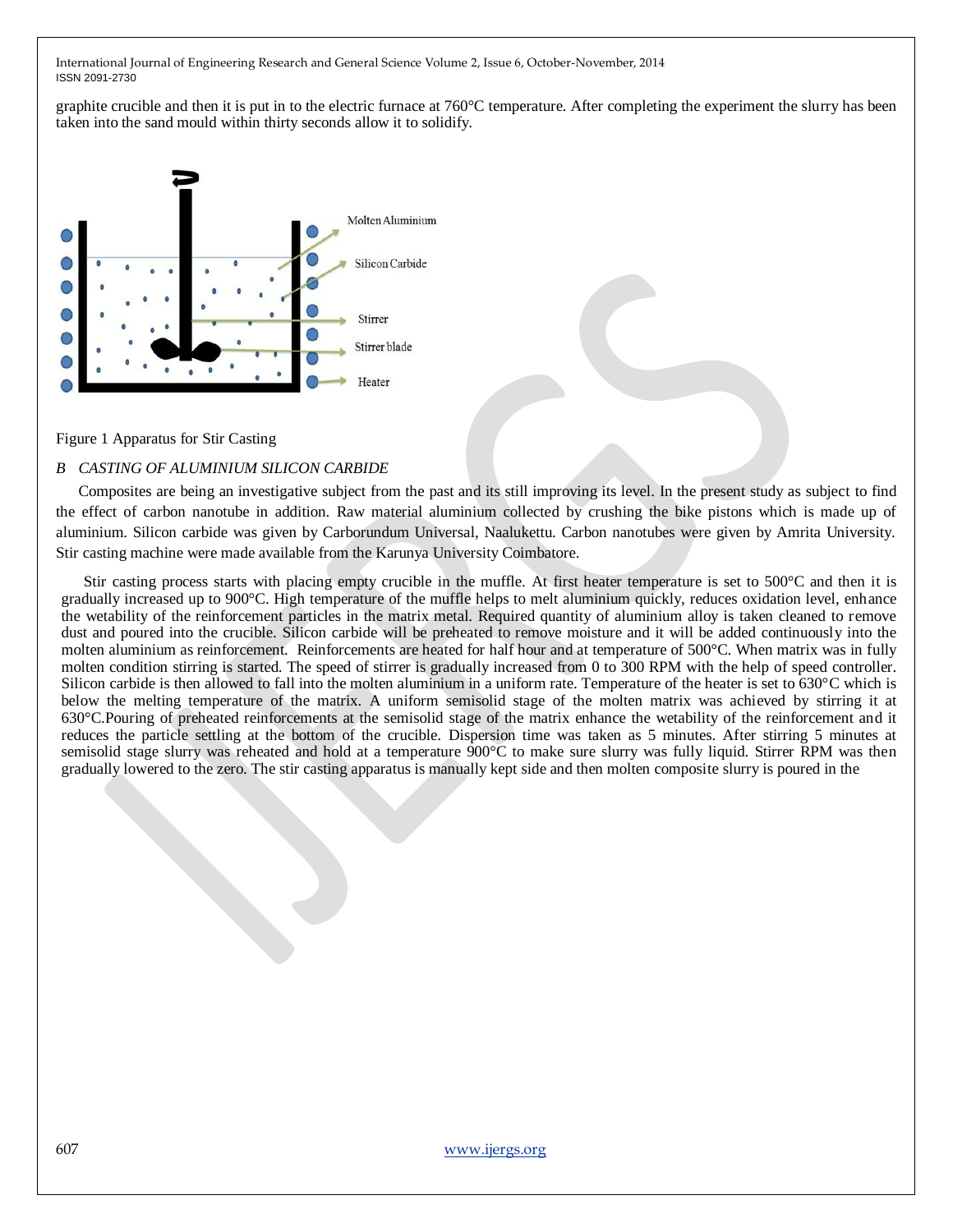graphite crucible and then it is put in to the electric furnace at 760°C temperature. After completing the experiment the slurry has been taken into the sand mould within thirty seconds allow it to solidify.



#### Figure 1 Apparatus for Stir Casting

#### *B CASTING OF ALUMINIUM SILICON CARBIDE*

Composites are being an investigative subject from the past and its still improving its level. In the present study as subject to find the effect of carbon nanotube in addition. Raw material aluminium collected by crushing the bike pistons which is made up of aluminium. Silicon carbide was given by Carborundum Universal, Naalukettu. Carbon nanotubes were given by Amrita University. Stir casting machine were made available from the Karunya University Coimbatore.

Stir casting process starts with placing empty crucible in the muffle. At first heater temperature is set to 500°C and then it is gradually increased up to 900°C. High temperature of the muffle helps to melt aluminium quickly, reduces oxidation level, enhance the wetability of the reinforcement particles in the matrix metal. Required quantity of aluminium alloy is taken cleaned to remove dust and poured into the crucible. Silicon carbide will be preheated to remove moisture and it will be added continuously into the molten aluminium as reinforcement. Reinforcements are heated for half hour and at temperature of 500°C. When matrix was in fully molten condition stirring is started. The speed of stirrer is gradually increased from 0 to 300 RPM with the help of speed controller. Silicon carbide is then allowed to fall into the molten aluminium in a uniform rate. Temperature of the heater is set to 630°C which is below the melting temperature of the matrix. A uniform semisolid stage of the molten matrix was achieved by stirring it at 630°C.Pouring of preheated reinforcements at the semisolid stage of the matrix enhance the wetability of the reinforcement and it reduces the particle settling at the bottom of the crucible. Dispersion time was taken as 5 minutes. After stirring 5 minutes at semisolid stage slurry was reheated and hold at a temperature 900°C to make sure slurry was fully liquid. Stirrer RPM was then gradually lowered to the zero. The stir casting apparatus is manually kept side and then molten composite slurry is poured in the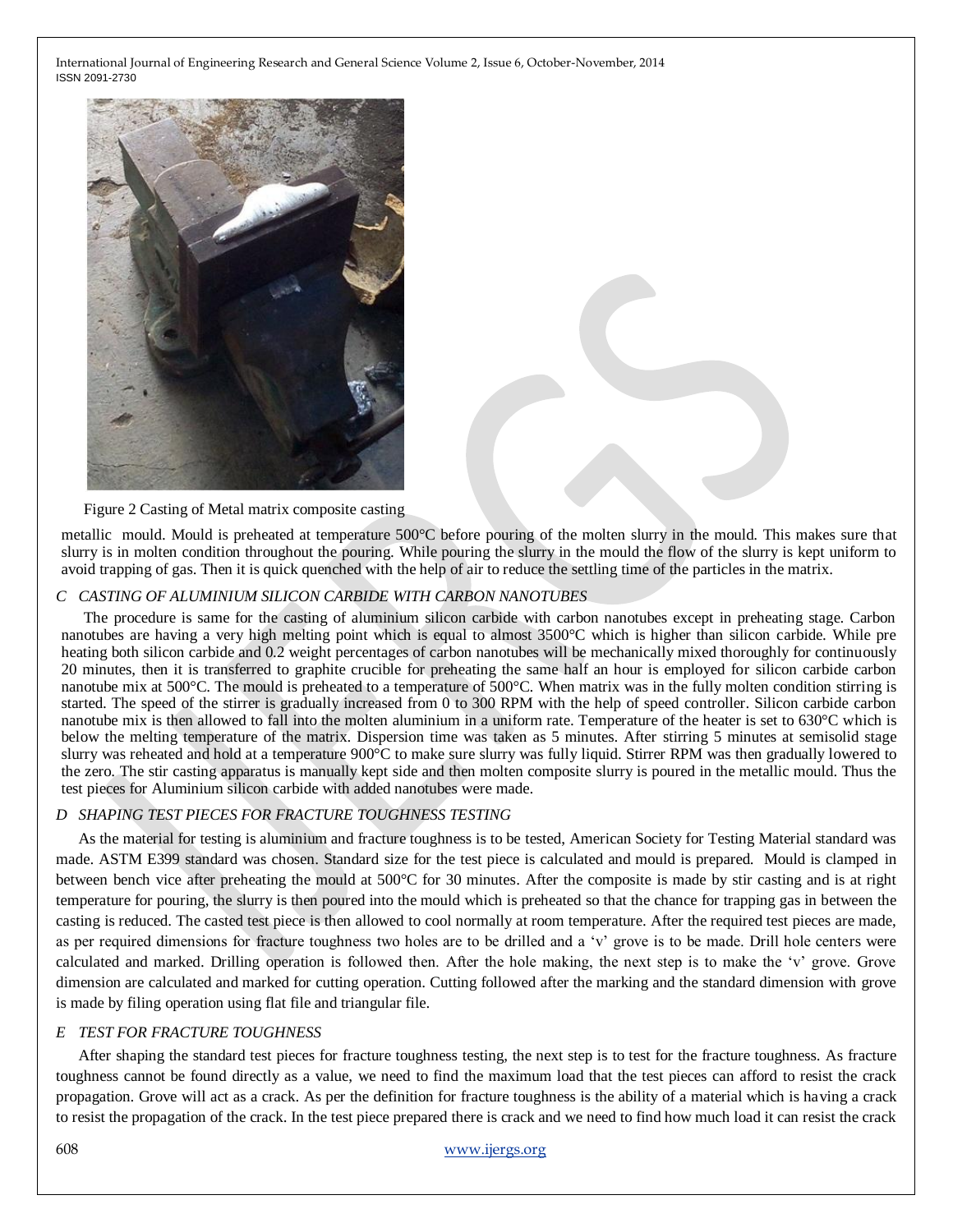

Figure 2 Casting of Metal matrix composite casting

metallic mould. Mould is preheated at temperature 500°C before pouring of the molten slurry in the mould. This makes sure that slurry is in molten condition throughout the pouring. While pouring the slurry in the mould the flow of the slurry is kept uniform to avoid trapping of gas. Then it is quick quenched with the help of air to reduce the settling time of the particles in the matrix.

#### *C CASTING OF ALUMINIUM SILICON CARBIDE WITH CARBON NANOTUBES*

The procedure is same for the casting of aluminium silicon carbide with carbon nanotubes except in preheating stage. Carbon nanotubes are having a very high melting point which is equal to almost 3500°C which is higher than silicon carbide. While pre heating both silicon carbide and 0.2 weight percentages of carbon nanotubes will be mechanically mixed thoroughly for continuously 20 minutes, then it is transferred to graphite crucible for preheating the same half an hour is employed for silicon carbide carbon nanotube mix at 500°C. The mould is preheated to a temperature of 500°C. When matrix was in the fully molten condition stirring is started. The speed of the stirrer is gradually increased from 0 to 300 RPM with the help of speed controller. Silicon carbide carbon nanotube mix is then allowed to fall into the molten aluminium in a uniform rate. Temperature of the heater is set to 630°C which is below the melting temperature of the matrix. Dispersion time was taken as 5 minutes. After stirring 5 minutes at semisolid stage slurry was reheated and hold at a temperature 900°C to make sure slurry was fully liquid. Stirrer RPM was then gradually lowered to the zero. The stir casting apparatus is manually kept side and then molten composite slurry is poured in the metallic mould. Thus the test pieces for Aluminium silicon carbide with added nanotubes were made.

## *D SHAPING TEST PIECES FOR FRACTURE TOUGHNESS TESTING*

As the material for testing is aluminium and fracture toughness is to be tested, American Society for Testing Material standard was made. ASTM E399 standard was chosen. Standard size for the test piece is calculated and mould is prepared. Mould is clamped in between bench vice after preheating the mould at 500°C for 30 minutes. After the composite is made by stir casting and is at right temperature for pouring, the slurry is then poured into the mould which is preheated so that the chance for trapping gas in between the casting is reduced. The casted test piece is then allowed to cool normally at room temperature. After the required test pieces are made, as per required dimensions for fracture toughness two holes are to be drilled and a 'v' grove is to be made. Drill hole centers were calculated and marked. Drilling operation is followed then. After the hole making, the next step is to make the 'v' grove. Grove dimension are calculated and marked for cutting operation. Cutting followed after the marking and the standard dimension with grove is made by filing operation using flat file and triangular file.

## *E TEST FOR FRACTURE TOUGHNESS*

After shaping the standard test pieces for fracture toughness testing, the next step is to test for the fracture toughness. As fracture toughness cannot be found directly as a value, we need to find the maximum load that the test pieces can afford to resist the crack propagation. Grove will act as a crack. As per the definition for fracture toughness is the ability of a material which is having a crack to resist the propagation of the crack. In the test piece prepared there is crack and we need to find how much load it can resist the crack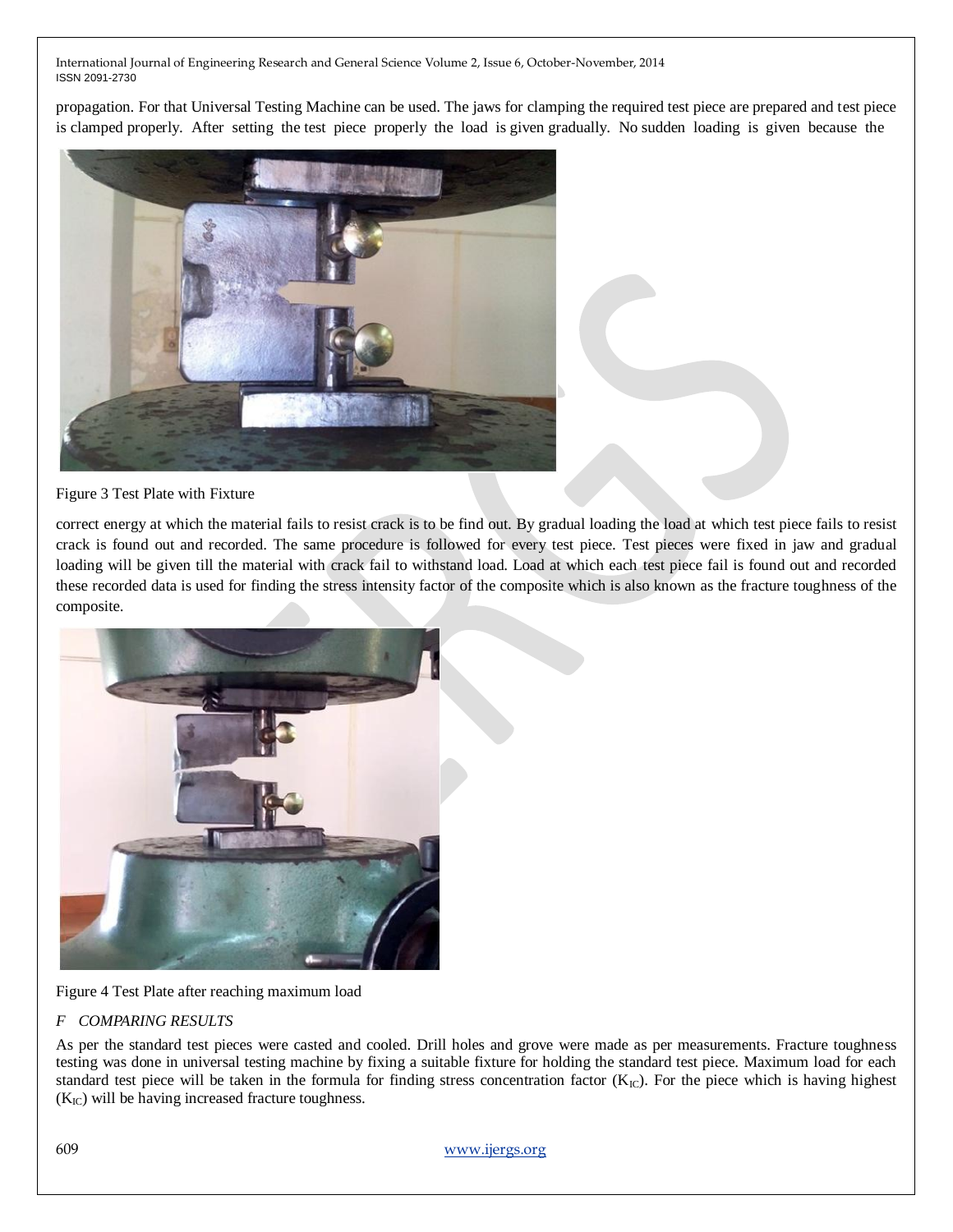propagation. For that Universal Testing Machine can be used. The jaws for clamping the required test piece are prepared and test piece is clamped properly. After setting the test piece properly the load is given gradually. No sudden loading is given because the



Figure 3 Test Plate with Fixture

correct energy at which the material fails to resist crack is to be find out. By gradual loading the load at which test piece fails to resist crack is found out and recorded. The same procedure is followed for every test piece. Test pieces were fixed in jaw and gradual loading will be given till the material with crack fail to withstand load. Load at which each test piece fail is found out and recorded these recorded data is used for finding the stress intensity factor of the composite which is also known as the fracture toughness of the composite.



Figure 4 Test Plate after reaching maximum load

## *F COMPARING RESULTS*

As per the standard test pieces were casted and cooled. Drill holes and grove were made as per measurements. Fracture toughness testing was done in universal testing machine by fixing a suitable fixture for holding the standard test piece. Maximum load for each standard test piece will be taken in the formula for finding stress concentration factor  $(K_{IC})$ . For the piece which is having highest  $(K_{IC})$  will be having increased fracture toughness.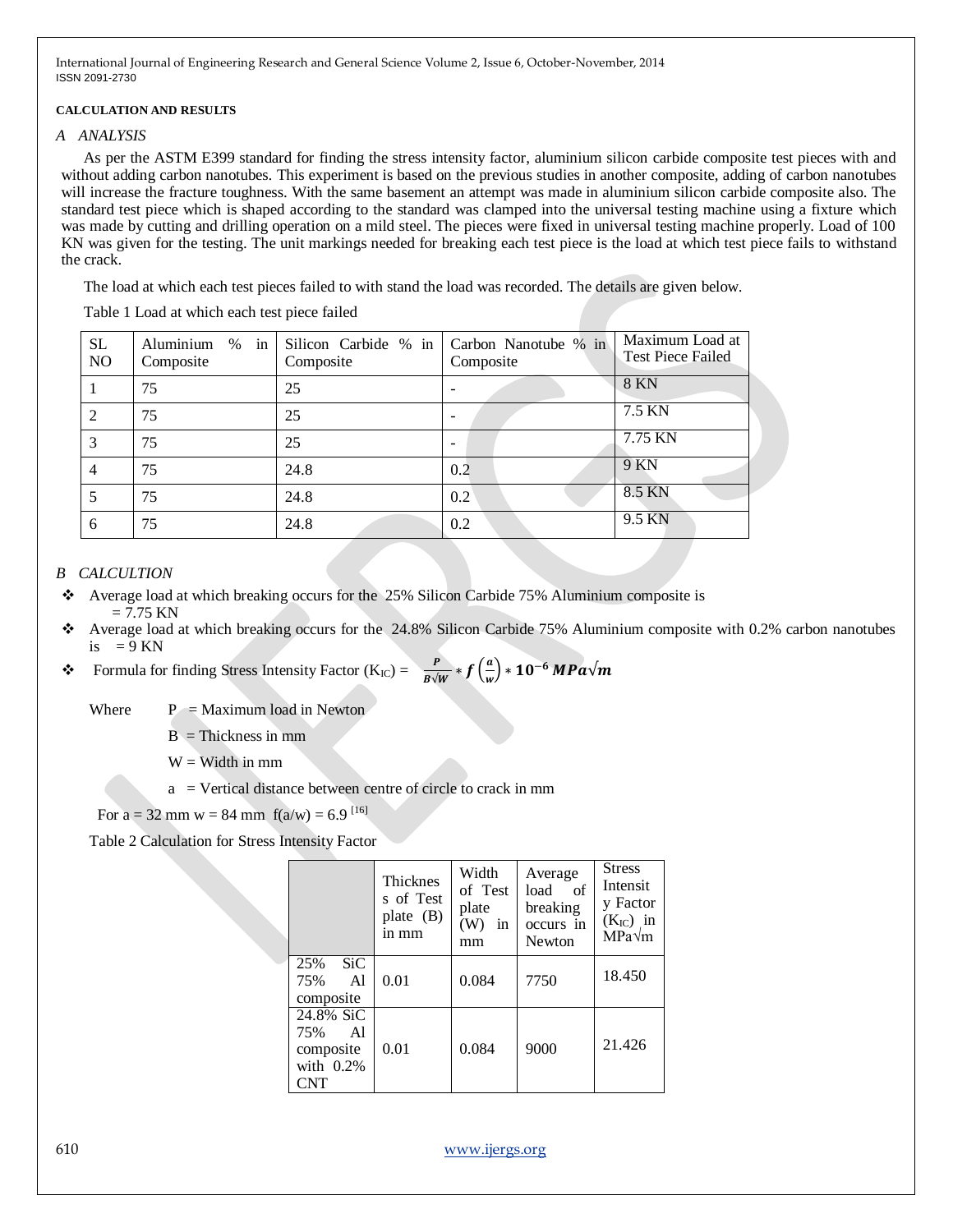#### **CALCULATION AND RESULTS**

#### *A ANALYSIS*

As per the ASTM E399 standard for finding the stress intensity factor, aluminium silicon carbide composite test pieces with and without adding carbon nanotubes. This experiment is based on the previous studies in another composite, adding of carbon nanotubes will increase the fracture toughness. With the same basement an attempt was made in aluminium silicon carbide composite also. The standard test piece which is shaped according to the standard was clamped into the universal testing machine using a fixture which was made by cutting and drilling operation on a mild steel. The pieces were fixed in universal testing machine properly. Load of 100 KN was given for the testing. The unit markings needed for breaking each test piece is the load at which test piece fails to withstand the crack.

The load at which each test pieces failed to with stand the load was recorded. The details are given below.

Table 1 Load at which each test piece failed

| SL<br>NO | $%$ in<br>Aluminium<br>Composite | Silicon Carbide % in<br>Composite | Carbon Nanotube % in<br>Composite | Maximum Load at<br><b>Test Piece Failed</b> |
|----------|----------------------------------|-----------------------------------|-----------------------------------|---------------------------------------------|
|          | 75                               | 25                                |                                   | <b>8 KN</b>                                 |
| 2        | 75                               | 25                                |                                   | 7.5 KN                                      |
| 3        | 75                               | 25                                |                                   | 7.75 KN                                     |
| 4        | 75                               | 24.8                              | 0.2                               | 9 KN                                        |
| 5        | 75                               | 24.8                              | 0.2                               | 8.5 KN                                      |
| 6        | 75                               | 24.8                              | 0.2                               | 9.5 KN                                      |

## *B CALCULTION*

- Average load at which breaking occurs for the 25% Silicon Carbide 75% Aluminium composite is  $= 7.75$  KN
- Average load at which breaking occurs for the 24.8% Silicon Carbide 75% Aluminium composite with 0.2% carbon nanotubes is  $= 9$  KN

**❖** Formula for finding Stress Intensity Factor (K<sub>IC</sub>) =  $\frac{P}{B\sqrt{W}}$   $\ast$   $f\left(\frac{a}{w}\right)$  $\left(\frac{a}{w}\right) * 10^{-6}$  MPa $\sqrt{m}$ 

Where  $P =$  Maximum load in Newton

 $B = Thickness$  in mm

 $W =$  Width in mm

a = Vertical distance between centre of circle to crack in mm

For  $a = 32$  mm  $w = 84$  mm  $f(a/w) = 6.9$  [16]

Table 2 Calculation for Stress Intensity Factor

|                                                         | Thicknes<br>s of Test<br>plate (B)<br>in mm | Width<br>of Test<br>plate<br>(W)<br>in<br>mm | Average<br>load<br>- of<br>breaking<br>occurs in<br><b>Newton</b> | <b>Stress</b><br>Intensit<br>y Factor<br>$(K_{IC})$ in<br>$MPa\sqrt{m}$ |
|---------------------------------------------------------|---------------------------------------------|----------------------------------------------|-------------------------------------------------------------------|-------------------------------------------------------------------------|
| 25%<br>SiC.<br>75%<br>Al<br>composite                   | 0.01                                        | 0.084                                        | 7750                                                              | 18.450                                                                  |
| 24.8% SiC<br>75%<br>Al<br>composite<br>with 0.2%<br>CNT | 0.01                                        | 0.084                                        | 9000                                                              | 21.426                                                                  |

610 www.ijergs.org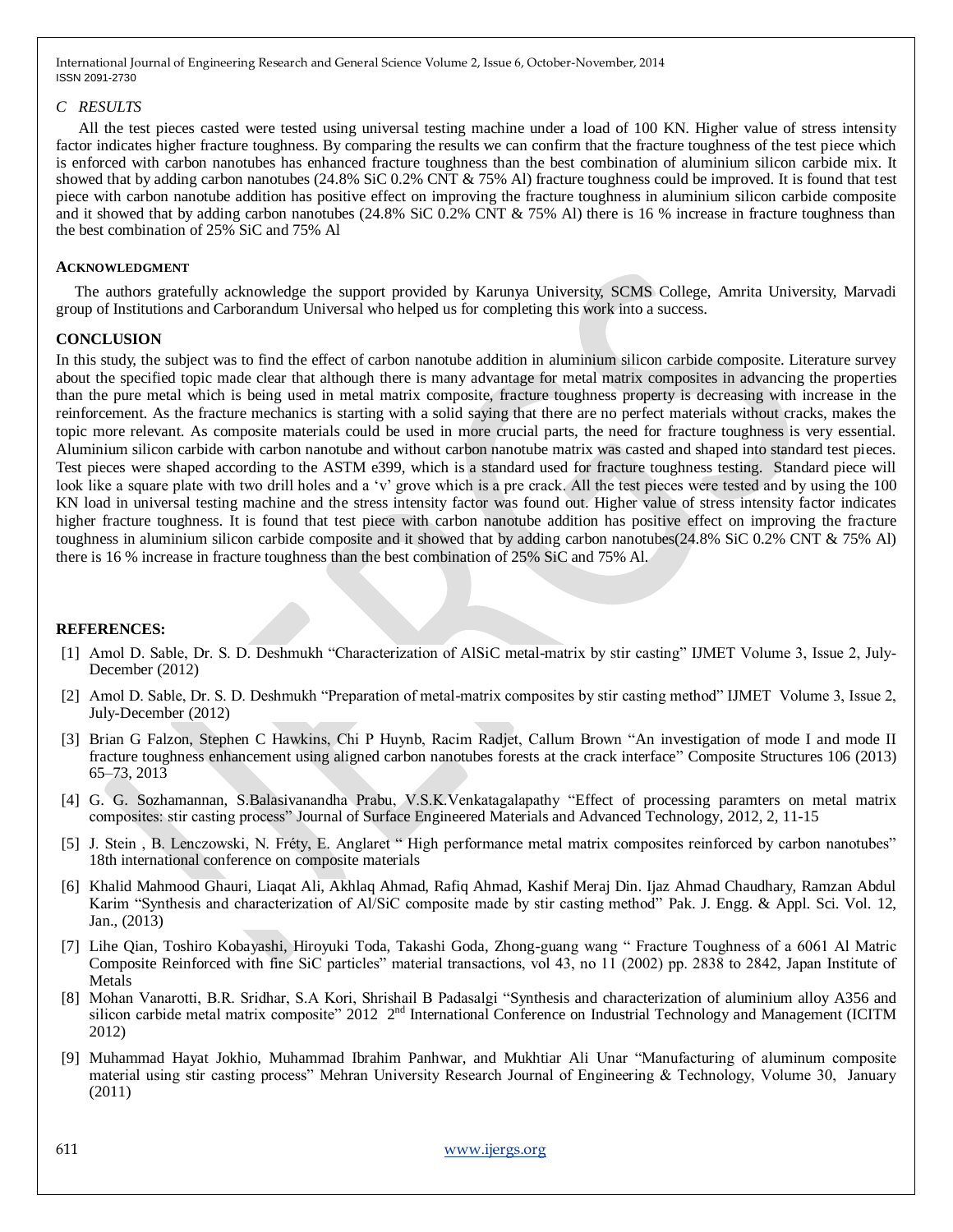### *C RESULTS*

All the test pieces casted were tested using universal testing machine under a load of 100 KN. Higher value of stress intensity factor indicates higher fracture toughness. By comparing the results we can confirm that the fracture toughness of the test piece which is enforced with carbon nanotubes has enhanced fracture toughness than the best combination of aluminium silicon carbide mix. It showed that by adding carbon nanotubes (24.8% SiC 0.2% CNT & 75% Al) fracture toughness could be improved. It is found that test piece with carbon nanotube addition has positive effect on improving the fracture toughness in aluminium silicon carbide composite and it showed that by adding carbon nanotubes (24.8% SiC 0.2% CNT & 75% Al) there is 16 % increase in fracture toughness than the best combination of 25% SiC and 75% Al

#### **ACKNOWLEDGMENT**

The authors gratefully acknowledge the support provided by Karunya University, SCMS College, Amrita University, Marvadi group of Institutions and Carborandum Universal who helped us for completing this work into a success.

## **CONCLUSION**

In this study, the subject was to find the effect of carbon nanotube addition in aluminium silicon carbide composite. Literature survey about the specified topic made clear that although there is many advantage for metal matrix composites in advancing the properties than the pure metal which is being used in metal matrix composite, fracture toughness property is decreasing with increase in the reinforcement. As the fracture mechanics is starting with a solid saying that there are no perfect materials without cracks, makes the topic more relevant. As composite materials could be used in more crucial parts, the need for fracture toughness is very essential. Aluminium silicon carbide with carbon nanotube and without carbon nanotube matrix was casted and shaped into standard test pieces. Test pieces were shaped according to the ASTM e399, which is a standard used for fracture toughness testing. Standard piece will look like a square plate with two drill holes and a 'v' grove which is a pre crack. All the test pieces were tested and by using the 100 KN load in universal testing machine and the stress intensity factor was found out. Higher value of stress intensity factor indicates higher fracture toughness. It is found that test piece with carbon nanotube addition has positive effect on improving the fracture toughness in aluminium silicon carbide composite and it showed that by adding carbon nanotubes(24.8% SiC 0.2% CNT & 75% Al) there is 16 % increase in fracture toughness than the best combination of 25% SiC and 75% Al.

## **REFERENCES:**

- [1] Amol D. Sable, Dr. S. D. Deshmukh "Characterization of AlSiC metal-matrix by stir casting" IJMET Volume 3, Issue 2, July-December (2012)
- [2] Amol D. Sable, Dr. S. D. Deshmukh "Preparation of metal-matrix composites by stir casting method" IJMET Volume 3, Issue 2, July-December (2012)
- [3] Brian G Falzon, Stephen C Hawkins, Chi P Huynb, Racim Radjet, Callum Brown "An investigation of mode I and mode II fracture toughness enhancement using aligned carbon nanotubes forests at the crack interface" Composite Structures 106 (2013) 65–73, 2013
- [4] G. G. Sozhamannan, S.Balasivanandha Prabu, V.S.K.Venkatagalapathy "Effect of processing paramters on metal matrix composites: stir casting process" Journal of Surface Engineered Materials and Advanced Technology, 2012, 2, 11-15
- [5] J. Stein, B. Lenczowski, N. Fréty, E. Anglaret "High performance metal matrix composites reinforced by carbon nanotubes" 18th international conference on composite materials
- [6] Khalid Mahmood Ghauri, Liaqat Ali, Akhlaq Ahmad, Rafiq Ahmad, Kashif Meraj Din. Ijaz Ahmad Chaudhary, Ramzan Abdul Karim "Synthesis and characterization of Al/SiC composite made by stir casting method" Pak. J. Engg. & Appl. Sci. Vol. 12, Jan., (2013)
- [7] Lihe Qian, Toshiro Kobayashi, Hiroyuki Toda, Takashi Goda, Zhong-guang wang " Fracture Toughness of a 6061 Al Matric Composite Reinforced with fine SiC particles" material transactions, vol 43, no 11 (2002) pp. 2838 to 2842, Japan Institute of Metals
- [8] Mohan Vanarotti, B.R. Sridhar, S.A Kori, Shrishail B Padasalgi "Synthesis and characterization of aluminium alloy A356 and silicon carbide metal matrix composite"  $2012 \t2<sup>nd</sup>$  International Conference on Industrial Technology and Management (ICITM 2012)
- [9] Muhammad Hayat Jokhio, Muhammad Ibrahim Panhwar, and Mukhtiar Ali Unar "Manufacturing of aluminum composite material using stir casting process" Mehran University Research Journal of Engineering  $\&$  Technology, Volume 30, January (2011)